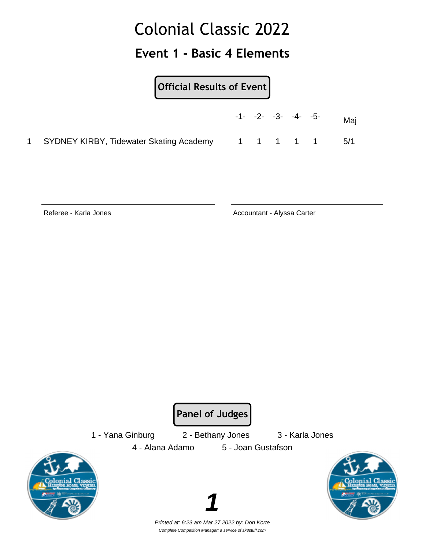#### **Event 1 - Basic 4 Elements**

#### **Official Results of Event**

|                                           |  | $-1 - -2 - -3 - -4 - -5$ |           | Maj |
|-------------------------------------------|--|--------------------------|-----------|-----|
| 1 SYDNEY KIRBY, Tidewater Skating Academy |  |                          | 1 1 1 1 1 | 5/1 |

Referee - Karla Jones **Accountant - Alyssa Carter** Accountant - Alyssa Carter

**Panel of Judges**

1 - Yana Ginburg 2 - Bethany Jones 3 - Karla Jones

4 - Alana Adamo 5 - Joan Gustafson





Printed at: 6:23 am Mar 27 2022 by: Don Korte Complete Competition Manager; a service of sk8stuff.com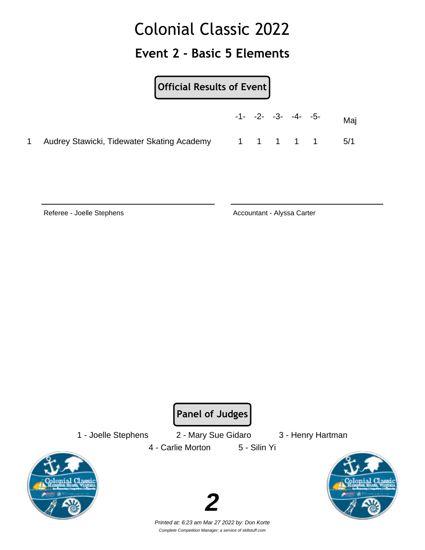#### **Event 2 - Basic 5 Elements**

#### **Official Results of Event**

|                                              |  | $-1 - -2 - -3 - -4 - -5$ |           | Maj |
|----------------------------------------------|--|--------------------------|-----------|-----|
| 1 Audrey Stawicki, Tidewater Skating Academy |  |                          | 1 1 1 1 1 | 5/1 |

Referee - Joelle Stephens **Accountant - Alyssa Carter** 

**Panel of Judges**

1 - Joelle Stephens 2 - Mary Sue Gidaro 3 - Henry Hartman 4 - Carlie Morton 5 - Silin Yi



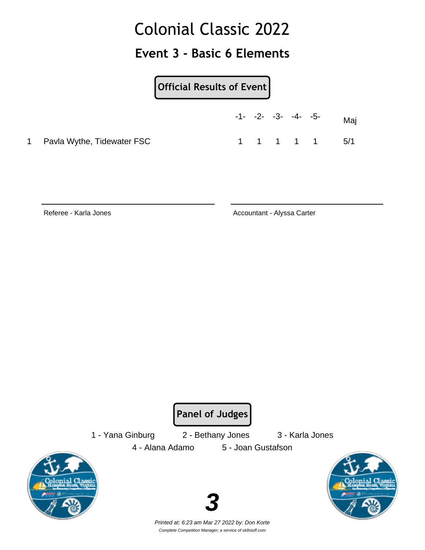#### **Event 3 - Basic 6 Elements**

**Official Results of Event**

|                              | $-1$ - $-2$ - $-3$ - $-4$ - $-5$ - |           |  | Maj |
|------------------------------|------------------------------------|-----------|--|-----|
| 1 Pavla Wythe, Tidewater FSC |                                    | 1 1 1 1 1 |  | 5/1 |

Referee - Karla Jones **Accountant - Alyssa Carter** Accountant - Alyssa Carter

**Panel of Judges**

1 - Yana Ginburg 2 - Bethany Jones 3 - Karla Jones

4 - Alana Adamo 5 - Joan Gustafson





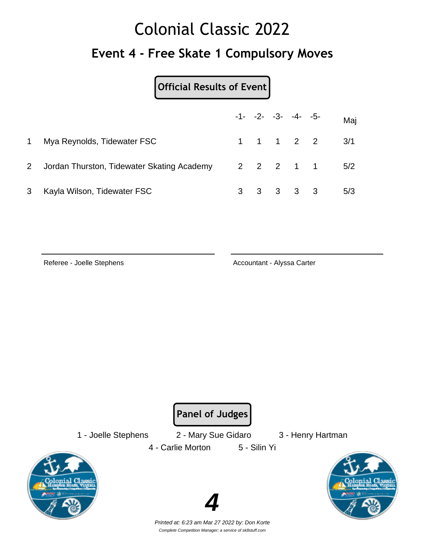## Colonial Classic 2022 **Event 4 - Free Skate 1 Compulsory Moves**

#### **Official Results of Event**

|              |                                            |  | $-1 - -2 - -3 - -4 - -5$ |           | Maj           |
|--------------|--------------------------------------------|--|--------------------------|-----------|---------------|
| $\mathbf{1}$ | Mya Reynolds, Tidewater FSC                |  |                          |           | 1 1 1 2 2 3/1 |
| $\mathbf{2}$ | Jordan Thurston, Tidewater Skating Academy |  |                          |           | 2 2 2 1 1 5/2 |
| 3            | Kayla Wilson, Tidewater FSC                |  |                          | 3 3 3 3 3 | 5/3           |

Referee - Joelle Stephens **Accountant - Alyssa Carter** Accountant - Alyssa Carter

**Panel of Judges**

1 - Joelle Stephens 2 - Mary Sue Gidaro 3 - Henry Hartman 4 - Carlie Morton 5 - Silin Yi



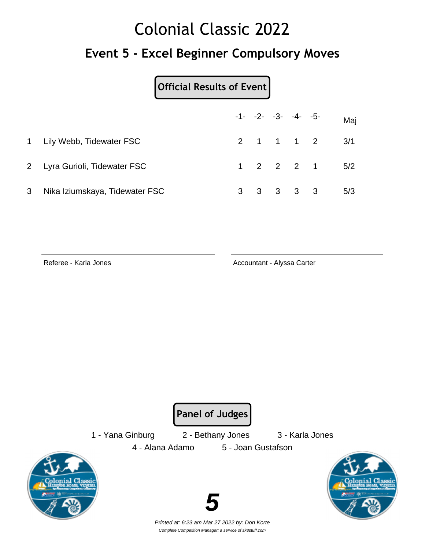#### **Event 5 - Excel Beginner Compulsory Moves**

#### **Official Results of Event**

|                |                                |  | $-1 - -2 - -3 - -4 - -5$ | Maj                       |
|----------------|--------------------------------|--|--------------------------|---------------------------|
|                | 1 Lily Webb, Tidewater FSC     |  |                          | 2 1 1 1 2 3/1             |
|                | 2 Lyra Gurioli, Tidewater FSC  |  |                          | $1 \t2 \t2 \t2 \t1 \t5/2$ |
| 3 <sup>1</sup> | Nika Iziumskaya, Tidewater FSC |  | $3 \t3 \t3 \t3 \t3$      | 5/3                       |

Referee - Karla Jones **Accountant - Alyssa Carter** Accountant - Alyssa Carter

**Panel of Judges**

1 - Yana Ginburg 2 - Bethany Jones 3 - Karla Jones



4 - Alana Adamo 5 - Joan Gustafson





Printed at: 6:23 am Mar 27 2022 by: Don Korte Complete Competition Manager; a service of sk8stuff.com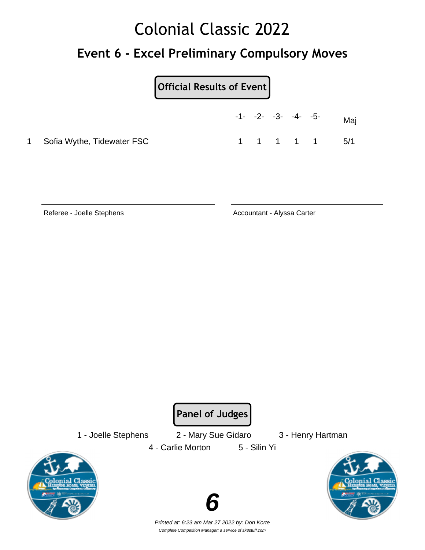#### **Event 6 - Excel Preliminary Compulsory Moves**

**Official Results of Event**

|                              | $-1$ - $-2$ - $-3$ - $-4$ - $-5$ - |  |           | Maj |
|------------------------------|------------------------------------|--|-----------|-----|
| 1 Sofia Wythe, Tidewater FSC |                                    |  | 1 1 1 1 1 | 5/1 |

Referee - Joelle Stephens **Accountant - Alyssa Carter** 

**Panel of Judges**

1 - Joelle Stephens 2 - Mary Sue Gidaro 3 - Henry Hartman 4 - Carlie Morton 5 - Silin Yi





Printed at: 6:23 am Mar 27 2022 by: Don Korte Complete Competition Manager; a service of sk8stuff.com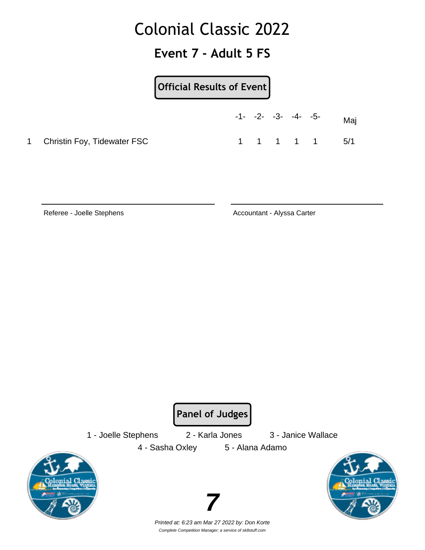#### **Event 7 - Adult 5 FS**

#### **Official Results of Event**

|                               |  | $-1$ - $-2$ - $-3$ - $-4$ - $-5$ - |  | Maj           |
|-------------------------------|--|------------------------------------|--|---------------|
| 1 Christin Foy, Tidewater FSC |  |                                    |  | 1 1 1 1 1 5/1 |

Referee - Joelle Stephens **Accountant - Alyssa Carter** 

**Panel of Judges**

1 - Joelle Stephens 2 - Karla Jones 3 - Janice Wallace

4 - Sasha Oxley 5 - Alana Adamo





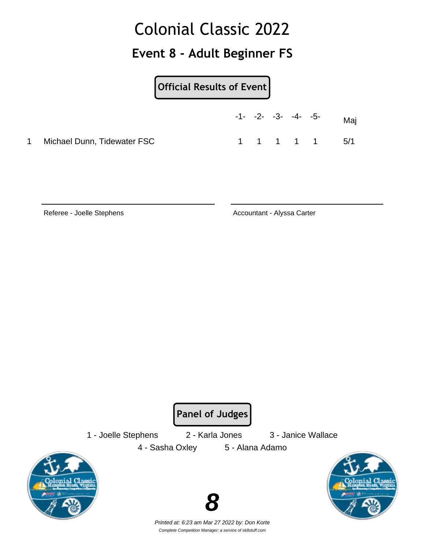#### **Event 8 - Adult Beginner FS**

**Official Results of Event**

|                             | $-1$ - $-2$ - $-3$ - $-4$ - $-5$ - |  |  | Maj |
|-----------------------------|------------------------------------|--|--|-----|
| Michael Dunn, Tidewater FSC | 1 1 1 1 1                          |  |  | 5/1 |

Referee - Joelle Stephens **Accountant - Alyssa Carter** 

**Panel of Judges**

1 - Joelle Stephens 2 - Karla Jones 3 - Janice Wallace

4 - Sasha Oxley 5 - Alana Adamo





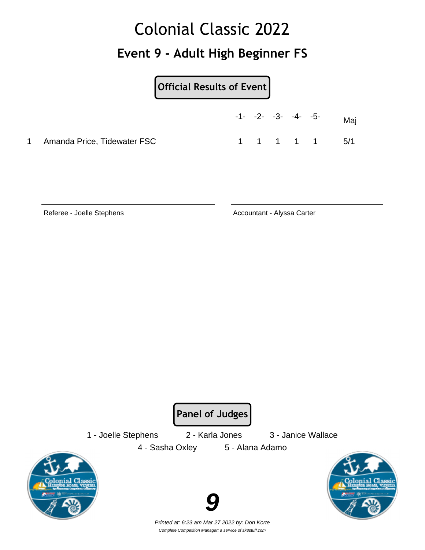#### **Event 9 - Adult High Beginner FS**

**Official Results of Event**

|                               | $-1$ - $-2$ - $-3$ - $-4$ - $-5$ - |  |           | Mai |
|-------------------------------|------------------------------------|--|-----------|-----|
| 1 Amanda Price, Tidewater FSC |                                    |  | 1 1 1 1 1 | 5/1 |

Referee - Joelle Stephens **Accountant - Alyssa Carter** 

**Panel of Judges**

4 - Sasha Oxley 5 - Alana Adamo

1 - Joelle Stephens 2 - Karla Jones 3 - Janice Wallace





Printed at: 6:23 am Mar 27 2022 by: Don Korte Complete Competition Manager; a service of sk8stuff.com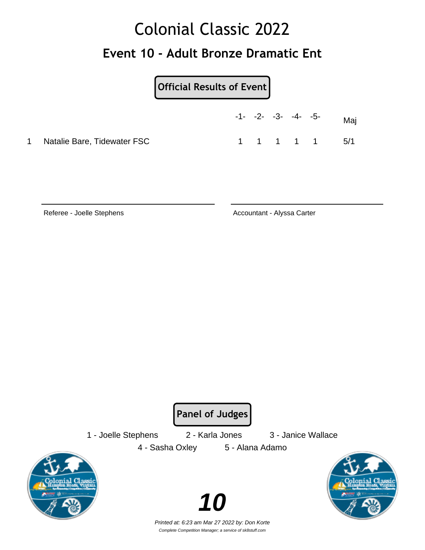### Colonial Classic 2022 **Event 10 - Adult Bronze Dramatic Ent**

**Official Results of Event**

|   |                             | $-1$ - $-2$ - $-3$ - $-4$ - $-5$ - |           |  | Mai |
|---|-----------------------------|------------------------------------|-----------|--|-----|
| 1 | Natalie Bare, Tidewater FSC |                                    | 1 1 1 1 1 |  | 5/1 |

Referee - Joelle Stephens **Accountant - Alyssa Carter** 

**Panel of Judges**

1 - Joelle Stephens 2 - Karla Jones 3 - Janice Wallace

4 - Sasha Oxley 5 - Alana Adamo





Printed at: 6:23 am Mar 27 2022 by: Don Korte Complete Competition Manager; a service of sk8stuff.com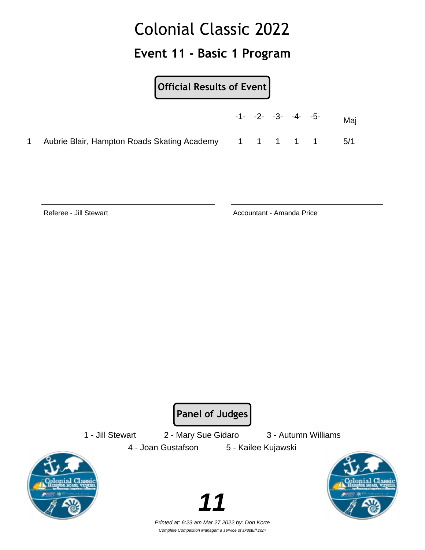#### **Event 11 - Basic 1 Program**

#### **Official Results of Event**

|                                                         |  | $-1$ - $-2$ - $-3$ - $-4$ - $-5$ - | Maj  |
|---------------------------------------------------------|--|------------------------------------|------|
| Aubrie Blair, Hampton Roads Skating Academy 1 1 1 1 1 1 |  |                                    | -5/1 |

Referee - Jill Stewart **Accountant - Amanda Price Referee - Jill Stewart** 

**Panel of Judges**

1 - Jill Stewart 2 - Mary Sue Gidaro 3 - Autumn Williams



4 - Joan Gustafson 5 - Kailee Kujawski



Printed at: 6:23 am Mar 27 2022 by: Don Korte Complete Competition Manager; a service of sk8stuff.com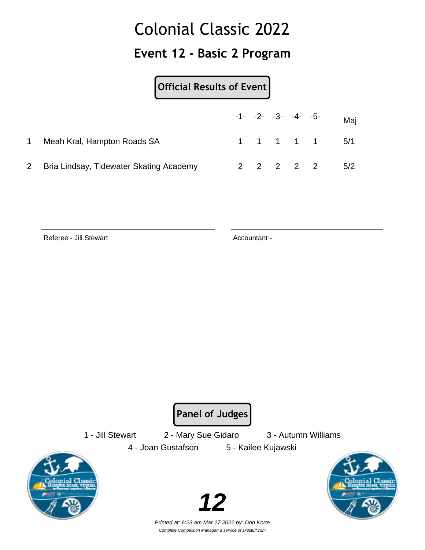#### **Event 12 - Basic 2 Program**

#### **Official Results of Event**

|                                           |  | $-1 - -2 - -3 - -4 - -5$ |           | Maj           |
|-------------------------------------------|--|--------------------------|-----------|---------------|
| Meah Kral, Hampton Roads SA               |  |                          |           | 1 1 1 1 1 5/1 |
| 2 Bria Lindsay, Tidewater Skating Academy |  |                          | 2 2 2 2 2 | 5/2           |

Referee - Jill Stewart **Accountant - Referee - Jill Stewart** 

**Panel of Judges**

1 - Jill Stewart 2 - Mary Sue Gidaro 3 - Autumn Williams



4 - Joan Gustafson 5 - Kailee Kujawski



Printed at: 6:23 am Mar 27 2022 by: Don Korte Complete Competition Manager; a service of sk8stuff.com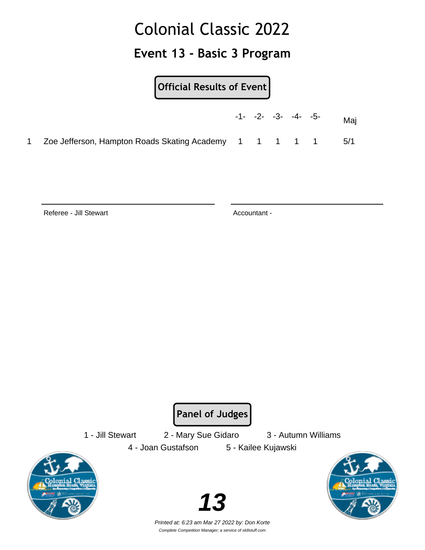**Event 13 - Basic 3 Program**

**Official Results of Event**

|                                                            |  | $-1$ - $-2$ - $-3$ - $-4$ - $-5$ - | Maj |
|------------------------------------------------------------|--|------------------------------------|-----|
| 1 Zoe Jefferson, Hampton Roads Skating Academy 1 1 1 1 1 1 |  |                                    | 5/1 |

Referee - Jill Stewart **Accountant - Referee - Jill Stewart** 

**Panel of Judges**

1 - Jill Stewart 2 - Mary Sue Gidaro 3 - Autumn Williams



4 - Joan Gustafson 5 - Kailee Kujawski



Printed at: 6:23 am Mar 27 2022 by: Don Korte Complete Competition Manager; a service of sk8stuff.com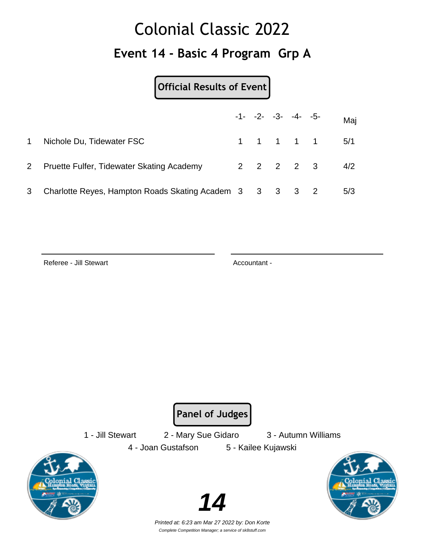## Colonial Classic 2022 **Event 14 - Basic 4 Program Grp A**

**Official Results of Event**

|              |                                                         |  | $-1 - -2 - -3 - -4 - -5$ | Maj             |
|--------------|---------------------------------------------------------|--|--------------------------|-----------------|
| $\mathbf{1}$ | Nichole Du, Tidewater FSC                               |  |                          | 1 1 1 1 1 5/1   |
| $\mathbf{2}$ | Pruette Fulfer, Tidewater Skating Academy               |  |                          | $2$ 2 2 2 3 4/2 |
|              | Charlotte Reyes, Hampton Roads Skating Academ 3 3 3 3 2 |  |                          | 5/3             |

Referee - Jill Stewart **Accountant - Referee - Jill Stewart** 

**Panel of Judges**

1 - Jill Stewart 2 - Mary Sue Gidaro 3 - Autumn Williams







Printed at: 6:23 am Mar 27 2022 by: Don Korte Complete Competition Manager; a service of sk8stuff.com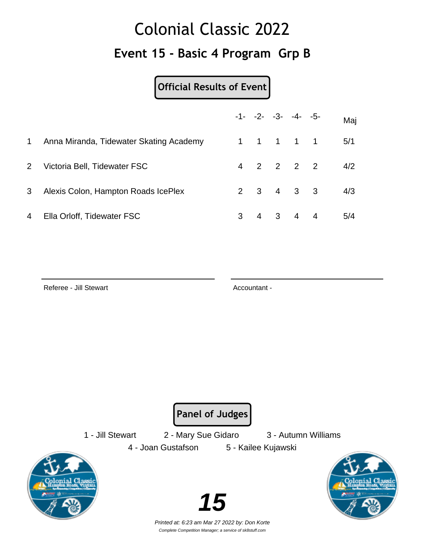## Colonial Classic 2022 **Event 15 - Basic 4 Program Grp B**

#### **Official Results of Event**

|                |                                         |   |  | $-1 - -2 - -3 - -4 - -5$ | Maj |
|----------------|-----------------------------------------|---|--|--------------------------|-----|
| $\mathbf 1$    | Anna Miranda, Tidewater Skating Academy |   |  | 1 1 1 1 1                | 5/1 |
| $2^{\circ}$    | Victoria Bell, Tidewater FSC            |   |  | 4 2 2 2 2                | 4/2 |
| 3 <sup>1</sup> | Alexis Colon, Hampton Roads IcePlex     |   |  | $2 \t3 \t4 \t3 \t3$      | 4/3 |
| 4              | Ella Orloff, Tidewater FSC              | 3 |  | 4   3   4   4            | 5/4 |

Referee - Jill Stewart **Accountant - Referee - Jill Stewart** 

**Panel of Judges**

1 - Jill Stewart 2 - Mary Sue Gidaro 3 - Autumn Williams 4 - Joan Gustafson 5 - Kailee Kujawski





Printed at: 6:23 am Mar 27 2022 by: Don Korte Complete Competition Manager; a service of sk8stuff.com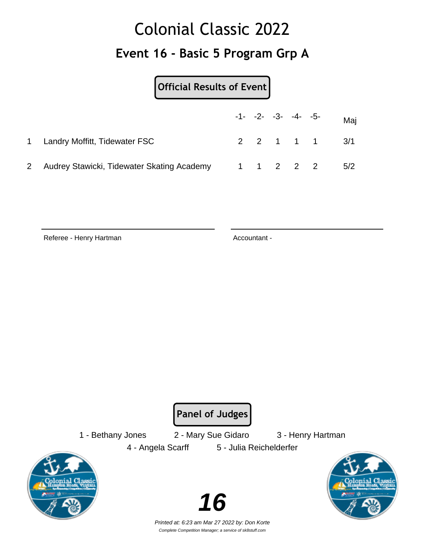## Colonial Classic 2022 **Event 16 - Basic 5 Program Grp A**

**Official Results of Event**

|                                              |  | $-1 - -2 - -3 - -4 - -5$ |           | Maj           |
|----------------------------------------------|--|--------------------------|-----------|---------------|
| 1 Landry Moffitt, Tidewater FSC              |  |                          |           | 2 2 1 1 1 3/1 |
| 2 Audrey Stawicki, Tidewater Skating Academy |  |                          | 1 1 2 2 2 | 5/2           |

Referee - Henry Hartman Accountant -

**Panel of Judges**

1 - Bethany Jones 2 - Mary Sue Gidaro 3 - Henry Hartman

4 - Angela Scarff 5 - Julia Reichelderfer





Printed at: 6:23 am Mar 27 2022 by: Don Korte Complete Competition Manager; a service of sk8stuff.com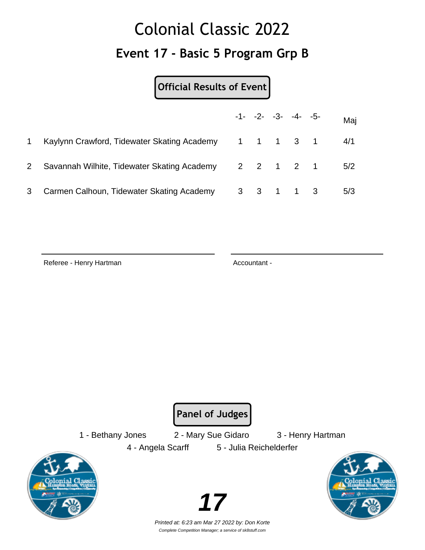## Colonial Classic 2022 **Event 17 - Basic 5 Program Grp B**

#### **Official Results of Event**

|                |                                                       |  | $-1 - -2 - -3 - -4 - -5$ |           | Maj |
|----------------|-------------------------------------------------------|--|--------------------------|-----------|-----|
| $\mathbf 1$    | Kaylynn Crawford, Tidewater Skating Academy 1 1 1 3 1 |  |                          |           | 4/1 |
| 2 <sup>1</sup> | Savannah Wilhite, Tidewater Skating Academy           |  |                          | 2 2 1 2 1 | 5/2 |
| 3              | Carmen Calhoun, Tidewater Skating Academy             |  | 3 3 1 1 3                |           | 5/3 |

Referee - Henry Hartman Accountant -

**Panel of Judges**

1 - Bethany Jones 2 - Mary Sue Gidaro 3 - Henry Hartman

4 - Angela Scarff 5 - Julia Reichelderfer

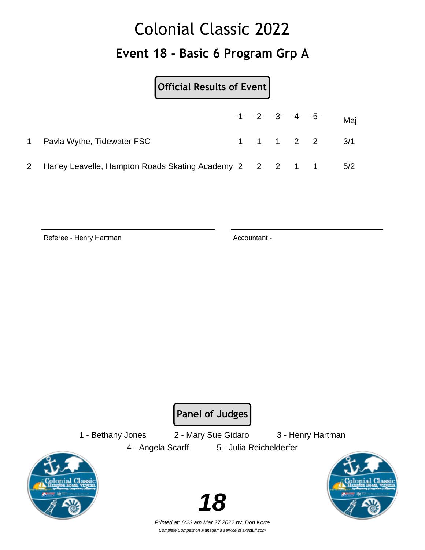## Colonial Classic 2022 **Event 18 - Basic 6 Program Grp A**

**Official Results of Event**

|              |                                                            |  | $-1 - -2 - -3 - -4 - -5$ | Maj           |
|--------------|------------------------------------------------------------|--|--------------------------|---------------|
| $\mathbf{1}$ | Pavla Wythe, Tidewater FSC                                 |  |                          | 1 1 1 2 2 3/1 |
|              | 2 Harley Leavelle, Hampton Roads Skating Academy 2 2 2 1 1 |  |                          | 5/2           |

Referee - Henry Hartman Accountant -

**Panel of Judges**

1 - Bethany Jones 2 - Mary Sue Gidaro 3 - Henry Hartman 4 - Angela Scarff 5 - Julia Reichelderfer



Printed at: 6:23 am Mar 27 2022 by: Don Korte Complete Competition Manager; a service of sk8stuff.com

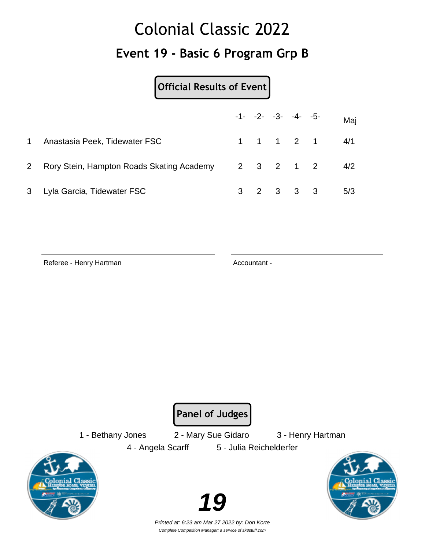## Colonial Classic 2022 **Event 19 - Basic 6 Program Grp B**

**Official Results of Event**

|              |                                                         |  | $-1 - -2 - -3 - -4 - -5$ |           | Maj                                           |
|--------------|---------------------------------------------------------|--|--------------------------|-----------|-----------------------------------------------|
| $\mathbf{1}$ | Anastasia Peek, Tidewater FSC                           |  |                          |           | $1 \quad 1 \quad 1 \quad 2 \quad 1 \quad 4/1$ |
| $\mathbf{2}$ | Rory Stein, Hampton Roads Skating Academy 2 3 2 1 2 4/2 |  |                          |           |                                               |
|              | 3 Lyla Garcia, Tidewater FSC                            |  |                          | 3 2 3 3 3 | 5/3                                           |

Referee - Henry Hartman Accountant -

**Panel of Judges**

1 - Bethany Jones 2 - Mary Sue Gidaro 3 - Henry Hartman

4 - Angela Scarff 5 - Julia Reichelderfer





Printed at: 6:23 am Mar 27 2022 by: Don Korte Complete Competition Manager; a service of sk8stuff.com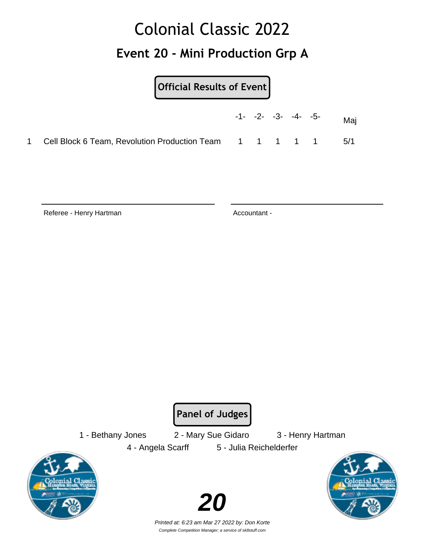## Colonial Classic 2022 **Event 20 - Mini Production Grp A**

#### **Official Results of Event**

|                                                             |  | $-1$ - $-2$ - $-3$ - $-4$ - $-5$ - | Mai   |
|-------------------------------------------------------------|--|------------------------------------|-------|
| 1 Cell Block 6 Team, Revolution Production Team 1 1 1 1 1 1 |  |                                    | - 5/1 |

Referee - Henry Hartman Accountant -

**Panel of Judges**

1 - Bethany Jones 2 - Mary Sue Gidaro 3 - Henry Hartman

4 - Angela Scarff 5 - Julia Reichelderfer

Printed at: 6:23 am Mar 27 2022 by: Don Korte Complete Competition Manager; a service of sk8stuff.com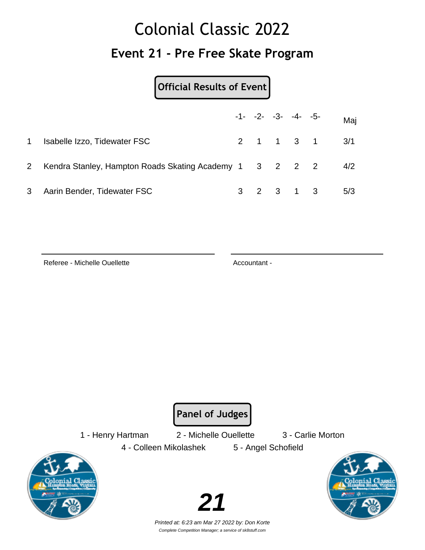## Colonial Classic 2022 **Event 21 - Pre Free Skate Program**

**Official Results of Event**

|                |                                                         |  | $-1 - -2 - -3 - -4 - -5$ | Maj           |
|----------------|---------------------------------------------------------|--|--------------------------|---------------|
| 1.             | Isabelle Izzo, Tidewater FSC                            |  |                          | 2 1 1 3 1 3/1 |
| 2 <sup>1</sup> | Kendra Stanley, Hampton Roads Skating Academy 1 3 2 2 2 |  |                          | 4/2           |
| 3              | Aarin Bender, Tidewater FSC                             |  | 3 2 3 1 3                | 5/3           |

Referee - Michelle Ouellette Accountant -

**Panel of Judges**

1 - Henry Hartman 2 - Michelle Ouellette 3 - Carlie Morton

4 - Colleen Mikolashek 5 - Angel Schofield



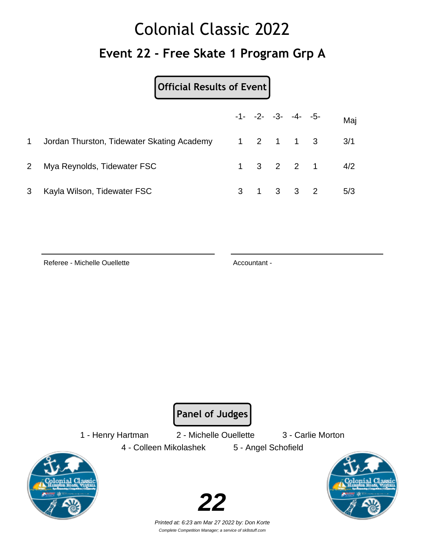## Colonial Classic 2022 **Event 22 - Free Skate 1 Program Grp A**

#### **Official Results of Event**

|                |                                            |  | $-1 - -2 - -3 - -4 - -5$ |           | Maj                       |
|----------------|--------------------------------------------|--|--------------------------|-----------|---------------------------|
| $\mathbf{1}$   | Jordan Thurston, Tidewater Skating Academy |  |                          |           | 1 2 1 1 3 3/1             |
| 2 <sup>1</sup> | Mya Reynolds, Tidewater FSC                |  |                          |           | $1 \t3 \t2 \t2 \t1 \t4/2$ |
| 3              | Kayla Wilson, Tidewater FSC                |  |                          | 3 1 3 3 2 | 5/3                       |

Referee - Michelle Ouellette Accountant -

**Panel of Judges**

1 - Henry Hartman 2 - Michelle Ouellette 3 - Carlie Morton

4 - Colleen Mikolashek 5 - Angel Schofield





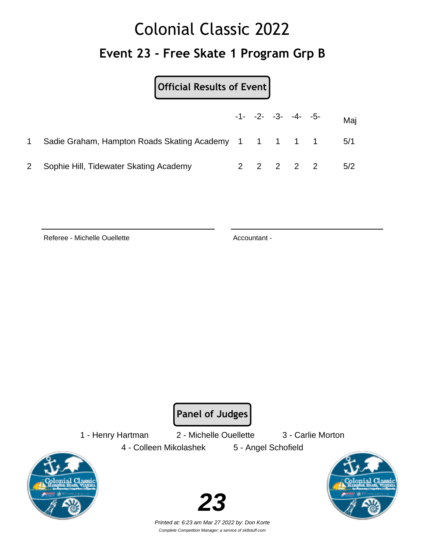## Colonial Classic 2022 **Event 23 - Free Skate 1 Program Grp B**

**Official Results of Event**

|                                                         |  | $-1 - -2 - -3 - -4 - -5$ |           | Maj |
|---------------------------------------------------------|--|--------------------------|-----------|-----|
| Sadie Graham, Hampton Roads Skating Academy 1 1 1 1 1 1 |  |                          |           | 5/1 |
| 2 Sophie Hill, Tidewater Skating Academy                |  |                          | 2 2 2 2 2 | 5/2 |

Referee - Michelle Ouellette Accountant -

**Panel of Judges**

1 - Henry Hartman 2 - Michelle Ouellette 3 - Carlie Morton 4 - Colleen Mikolashek 5 - Angel Schofield



**23**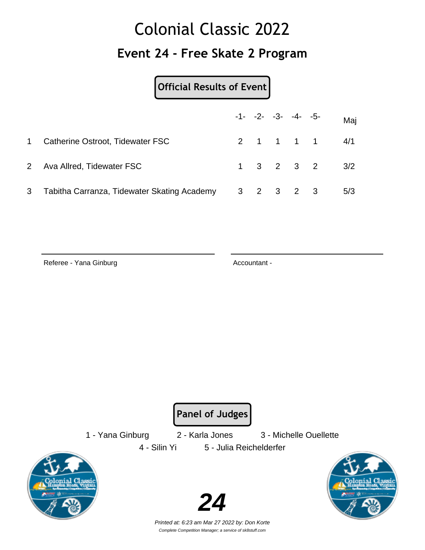### Colonial Classic 2022 **Event 24 - Free Skate 2 Program**

**Official Results of Event**

|   |                                             |  | $-1 - -2 - -3 - -4 - -5$ | Maj                       |
|---|---------------------------------------------|--|--------------------------|---------------------------|
| 1 | Catherine Ostroot, Tidewater FSC            |  |                          | 2 1 1 1 1 4/1             |
|   | 2 Ava Allred, Tidewater FSC                 |  |                          | $1 \t3 \t2 \t3 \t2 \t3/2$ |
| 3 | Tabitha Carranza, Tidewater Skating Academy |  | 3 2 3 2 3                | 5/3                       |

Referee - Yana Ginburg **Accountant - Referee - Yana Ginburg** Accountant -

**Panel of Judges**

1 - Yana Ginburg 2 - Karla Jones 3 - Michelle Ouellette



4 - Silin Yi 5 - Julia Reichelderfer





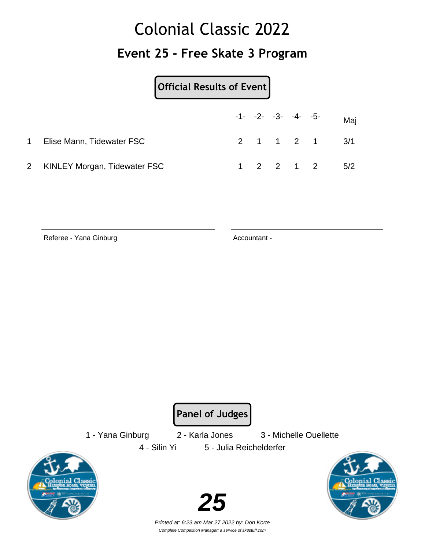## Colonial Classic 2022 **Event 25 - Free Skate 3 Program**

**Official Results of Event**

|                                |  | $-1 - -2 - -3 - -4 - -5$ |           | Maj           |
|--------------------------------|--|--------------------------|-----------|---------------|
| Elise Mann, Tidewater FSC      |  |                          |           | 2 1 1 2 1 3/1 |
| 2 KINLEY Morgan, Tidewater FSC |  |                          | 1 2 2 1 2 | 5/2           |

Referee - Yana Ginburg **Accountant - Referee - Yana Ginburg** Accountant -

**Panel of Judges**

1 - Yana Ginburg 2 - Karla Jones 3 - Michelle Ouellette

4 - Silin Yi 5 - Julia Reichelderfer





Printed at: 6:23 am Mar 27 2022 by: Don Korte Complete Competition Manager; a service of sk8stuff.com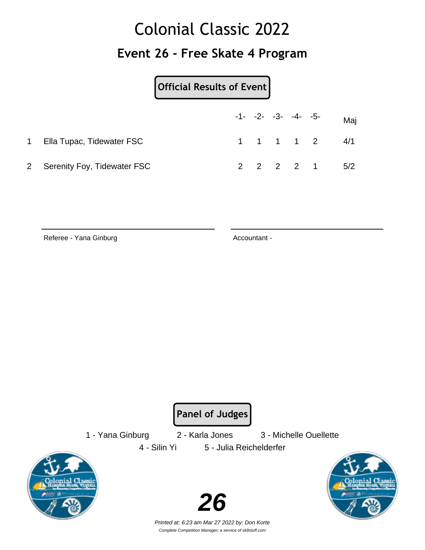### Colonial Classic 2022 **Event 26 - Free Skate 4 Program**

**Official Results of Event**

|                               |  | $-1$ - $-2$ - $-3$ - $-4$ - $-5$ - | Maj                                           |
|-------------------------------|--|------------------------------------|-----------------------------------------------|
| 1 Ella Tupac, Tidewater FSC   |  |                                    | $1 \quad 1 \quad 1 \quad 1 \quad 2 \quad 4/1$ |
| 2 Serenity Foy, Tidewater FSC |  |                                    | 2 2 2 2 1 5/2                                 |

Referee - Yana Ginburg **Accountant - Referee - Yana Ginburg** Accountant -

**Panel of Judges**

1 - Yana Ginburg 2 - Karla Jones 3 - Michelle Ouellette

4 - Silin Yi 5 - Julia Reichelderfer



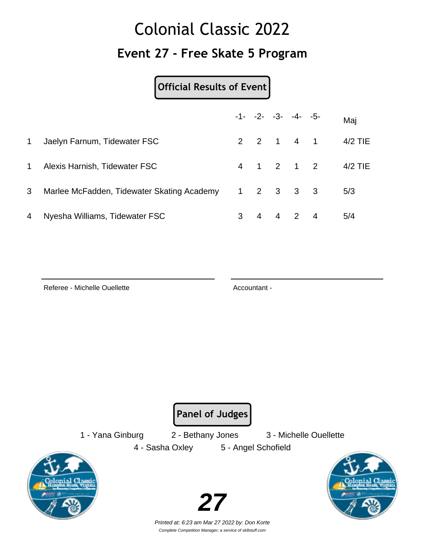## Colonial Classic 2022 **Event 27 - Free Skate 5 Program**

#### **Official Results of Event**

|              |                                            |   |                | $-1 - -2 - -3 - -4 - -5$ |  | Maj     |
|--------------|--------------------------------------------|---|----------------|--------------------------|--|---------|
| $\mathbf{1}$ | Jaelyn Farnum, Tidewater FSC               |   |                | 2 2 1 4 1                |  | 4/2 TIE |
| 1            | Alexis Harnish, Tidewater FSC              |   |                | 4 1 2 1 2                |  | 4/2 TIE |
| 3            | Marlee McFadden, Tidewater Skating Academy |   |                | $1 \t2 \t3 \t3 \t3$      |  | 5/3     |
| 4            | Nyesha Williams, Tidewater FSC             | 3 | $\overline{4}$ | 4 2 4                    |  | 5/4     |

Referee - Michelle Ouellette Accountant -

**Panel of Judges**

1 - Yana Ginburg 2 - Bethany Jones 3 - Michelle Ouellette

4 - Sasha Oxley 5 - Angel Schofield



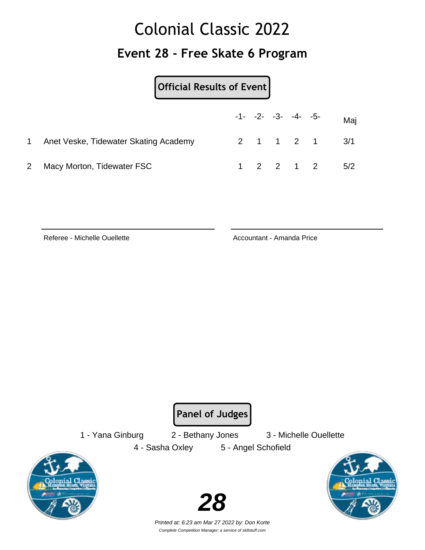## Colonial Classic 2022 **Event 28 - Free Skate 6 Program**

**Official Results of Event**

|                                       |  | $-1 - -2 - -3 - -4 - -5$ |           | Maj           |
|---------------------------------------|--|--------------------------|-----------|---------------|
| Anet Veske, Tidewater Skating Academy |  |                          |           | 2 1 1 2 1 3/1 |
| 2 Macy Morton, Tidewater FSC          |  |                          | 1 2 2 1 2 | 5/2           |

Referee - Michelle Ouellette **Accountant - Amanda Price** Accountant - Amanda Price

**Panel of Judges**

1 - Yana Ginburg 2 - Bethany Jones 3 - Michelle Ouellette 4 - Sasha Oxley 5 - Angel Schofield







Printed at: 6:23 am Mar 27 2022 by: Don Korte Complete Competition Manager; a service of sk8stuff.com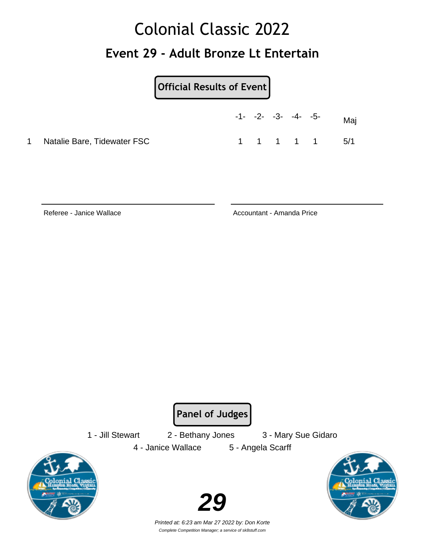### Colonial Classic 2022 **Event 29 - Adult Bronze Lt Entertain**

**Official Results of Event**

|   |                             | $-1$ - $-2$ - $-3$ - $-4$ - $-5$ - |           |  | Mai |
|---|-----------------------------|------------------------------------|-----------|--|-----|
| 1 | Natalie Bare, Tidewater FSC |                                    | 1 1 1 1 1 |  | 5/1 |

Referee - Janice Wallace Accountant - Amanda Price

**Panel of Judges**

4 - Janice Wallace 5 - Angela Scarff

1 - Jill Stewart 2 - Bethany Jones 3 - Mary Sue Gidaro



Printed at: 6:23 am Mar 27 2022 by: Don Korte Complete Competition Manager; a service of sk8stuff.com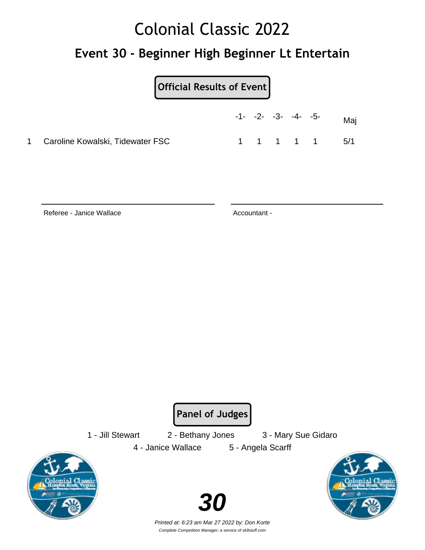#### **Event 30 - Beginner High Beginner Lt Entertain**

**Official Results of Event**

|                                    |  | $-1 - -2 - -3 - -4 - -5$ |           | Maj    |
|------------------------------------|--|--------------------------|-----------|--------|
| 1 Caroline Kowalski, Tidewater FSC |  |                          | 1 1 1 1 1 | $-5/1$ |

Referee - Janice Wallace Accountant -

**Panel of Judges**

1 - Jill Stewart 2 - Bethany Jones 3 - Mary Sue Gidaro 4 - Janice Wallace 5 - Angela Scarff





Printed at: 6:23 am Mar 27 2022 by: Don Korte Complete Competition Manager; a service of sk8stuff.com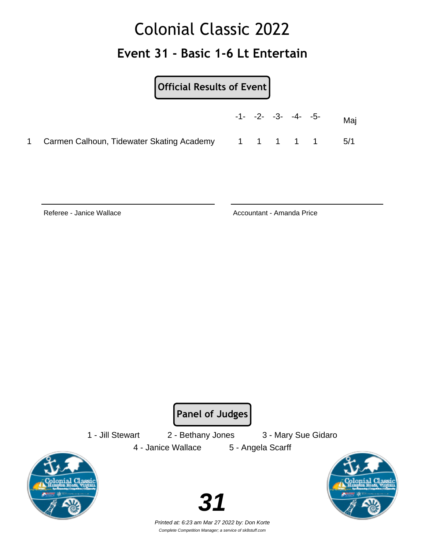### Colonial Classic 2022 **Event 31 - Basic 1-6 Lt Entertain**

#### **Official Results of Event**

|                                             |  | $-1 - -2 - -3 - -4 - -5$ |           | Maj |
|---------------------------------------------|--|--------------------------|-----------|-----|
| 1 Carmen Calhoun, Tidewater Skating Academy |  |                          | 1 1 1 1 1 | 5/1 |

Referee - Janice Wallace Accountant - Amanda Price

**Panel of Judges**

4 - Janice Wallace 5 - Angela Scarff

1 - Jill Stewart 2 - Bethany Jones 3 - Mary Sue Gidaro







Printed at: 6:23 am Mar 27 2022 by: Don Korte Complete Competition Manager; a service of sk8stuff.com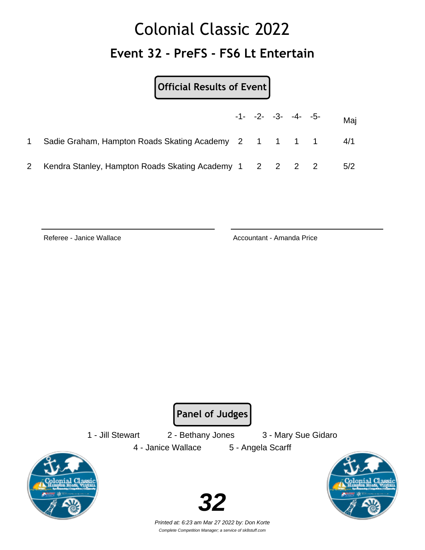## Colonial Classic 2022 **Event 32 - PreFS - FS6 Lt Entertain**

**Official Results of Event**

|                                                         |  | $-1 - -2 - -3 - -4 - -5$ | Mai |
|---------------------------------------------------------|--|--------------------------|-----|
| Sadie Graham, Hampton Roads Skating Academy 2 1 1 1 1   |  |                          | 4/1 |
| Kendra Stanley, Hampton Roads Skating Academy 1 2 2 2 2 |  |                          | 5/2 |

Referee - Janice Wallace **Accountant - Amanda Price** Accountant - Amanda Price

**Panel of Judges**

1 - Jill Stewart 2 - Bethany Jones 3 - Mary Sue Gidaro 4 - Janice Wallace 5 - Angela Scarff



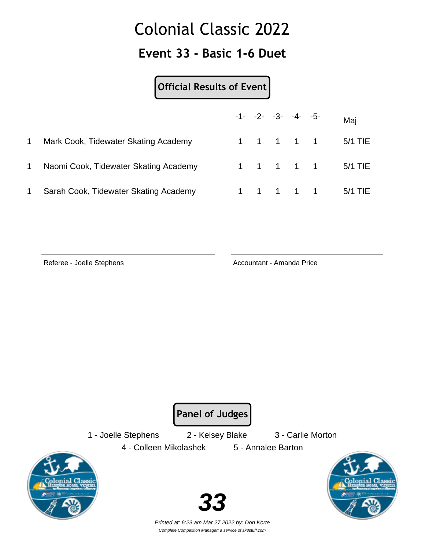#### **Event 33 - Basic 1-6 Duet**

#### **Official Results of Event**

|   |                                       |  | $-1 - -2 - -3 - -4 - -5$ |  | Maj                 |
|---|---------------------------------------|--|--------------------------|--|---------------------|
| 1 | Mark Cook, Tidewater Skating Academy  |  |                          |  | 1 1 1 1 1 1 5/1 TIE |
|   | Naomi Cook, Tidewater Skating Academy |  |                          |  | 1 1 1 1 1 1 5/1 TIE |
|   | Sarah Cook, Tidewater Skating Academy |  | 1 1 1 1 1                |  | 5/1 TIE             |

Referee - Joelle Stephens **Accountant - Amanda Price** Accountant - Amanda Price

**Panel of Judges**

1 - Joelle Stephens 2 - Kelsey Blake 3 - Carlie Morton

4 - Colleen Mikolashek 5 - Annalee Barton





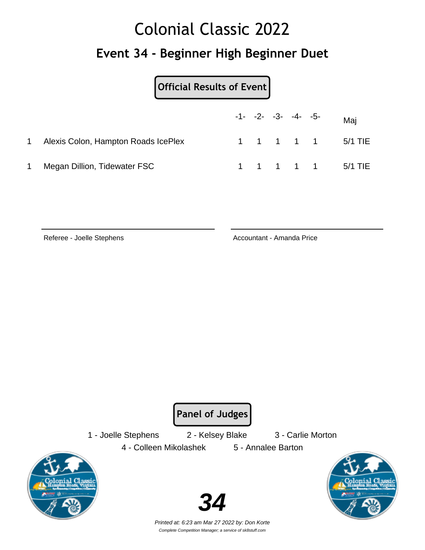#### **Event 34 - Beginner High Beginner Duet**

**Official Results of Event**

|                                     |  | $-1$ - $-2$ - $-3$ - $-4$ - $-5$ - |  | Mai               |
|-------------------------------------|--|------------------------------------|--|-------------------|
| Alexis Colon, Hampton Roads IcePlex |  |                                    |  | 1 1 1 1 1 5/1 TIE |
| Megan Dillion, Tidewater FSC        |  |                                    |  | 1 1 1 1 1 5/1 TIE |

Referee - Joelle Stephens **Accountant - Amanda Price** Accountant - Amanda Price

**Panel of Judges**

1 - Joelle Stephens 2 - Kelsey Blake 3 - Carlie Morton

4 - Colleen Mikolashek 5 - Annalee Barton



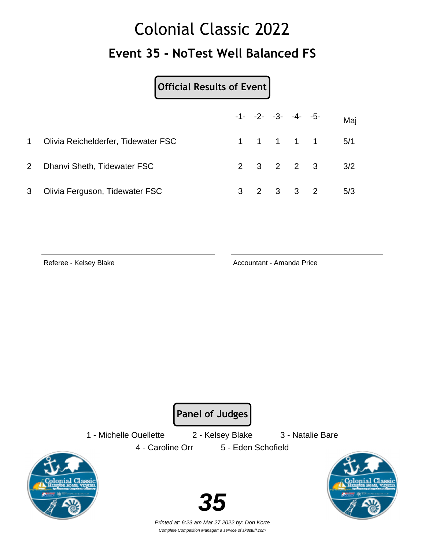## Colonial Classic 2022 **Event 35 - NoTest Well Balanced FS**

#### **Official Results of Event**

|              |                                     |  | $-1 - -2 - -3 - -4 - -5$ |           | Maj                       |
|--------------|-------------------------------------|--|--------------------------|-----------|---------------------------|
| 1            | Olivia Reichelderfer, Tidewater FSC |  |                          |           | 1 1 1 1 1 5/1             |
| $\mathbf{2}$ | Dhanvi Sheth, Tidewater FSC         |  |                          |           | $2 \t3 \t2 \t2 \t3 \t3/2$ |
|              | 3 Olivia Ferguson, Tidewater FSC    |  |                          | 3 2 3 3 2 | 5/3                       |

Referee - Kelsey Blake Accountant - Amanda Price

**Panel of Judges**

1 - Michelle Ouellette 2 - Kelsey Blake 3 - Natalie Bare

4 - Caroline Orr 5 - Eden Schofield



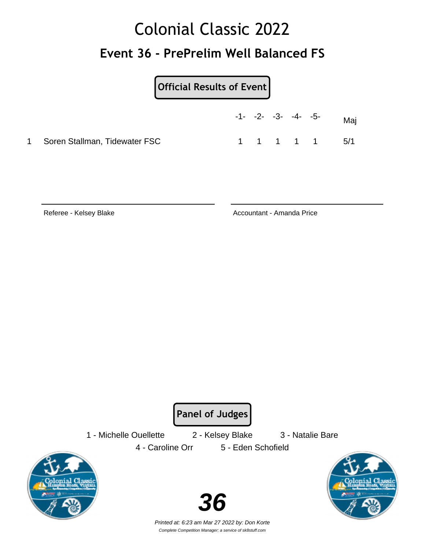## Colonial Classic 2022 **Event 36 - PrePrelim Well Balanced FS**

**Official Results of Event**

|                                 | $-1$ - $-2$ - $-3$ - $-4$ - $-5$ - |           |  | Mai |
|---------------------------------|------------------------------------|-----------|--|-----|
| 1 Soren Stallman, Tidewater FSC |                                    | 1 1 1 1 1 |  | 5/1 |

Referee - Kelsey Blake Accountant - Amanda Price

**Panel of Judges**

1 - Michelle Ouellette 2 - Kelsey Blake 3 - Natalie Bare

4 - Caroline Orr 5 - Eden Schofield





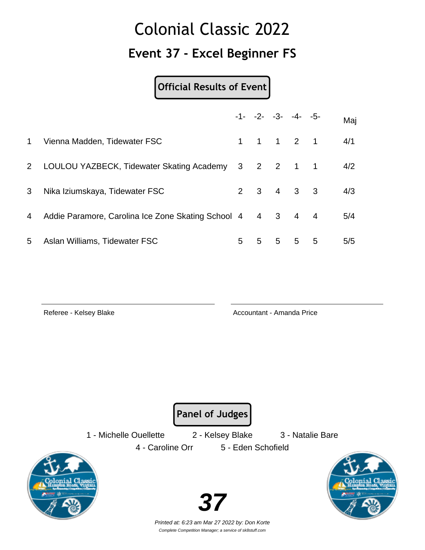#### **Event 37 - Excel Beginner FS**

**Official Results of Event**

|             |                                                    |                         |   |             | $-1 - -2 - -3 - -4 - -5$            |                | Maj |
|-------------|----------------------------------------------------|-------------------------|---|-------------|-------------------------------------|----------------|-----|
| $\mathbf 1$ | Vienna Madden, Tidewater FSC                       |                         |   |             | $1 \quad 1 \quad 1 \quad 2 \quad 1$ |                | 4/1 |
| $2^{\circ}$ | LOULOU YAZBECK, Tidewater Skating Academy          | $\overline{\mathbf{3}}$ |   |             | 2 2 1 1                             |                | 4/2 |
| 3           | Nika Iziumskaya, Tidewater FSC                     |                         |   |             | $2 \t3 \t4 \t3 \t3$                 |                | 4/3 |
| 4           | Addie Paramore, Carolina Ice Zone Skating School 4 |                         |   | 4 3         | $\overline{4}$                      | $\overline{4}$ | 5/4 |
| 5           | Aslan Williams, Tidewater FSC                      | 5                       | 5 | $5^{\circ}$ | 5                                   | 5              | 5/5 |

Referee - Kelsey Blake Accountant - Amanda Price

**Panel of Judges**

1 - Michelle Ouellette 2 - Kelsey Blake 3 - Natalie Bare

4 - Caroline Orr 5 - Eden Schofield



Printed at: 6:23 am Mar 27 2022 by: Don Korte Complete Competition Manager; a service of sk8stuff.com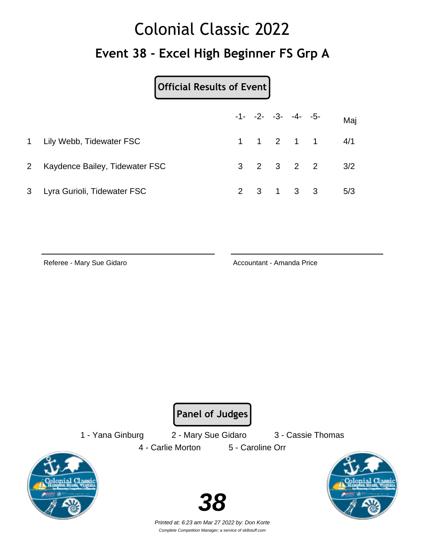## Colonial Classic 2022 **Event 38 - Excel High Beginner FS Grp A**

#### **Official Results of Event**

|                                  |  | $-1 - -2 - -3 - -4 - -5$ |           | Maj                                           |
|----------------------------------|--|--------------------------|-----------|-----------------------------------------------|
| 1 Lily Webb, Tidewater FSC       |  |                          |           | $1 \quad 1 \quad 2 \quad 1 \quad 1 \quad 4/1$ |
| 2 Kaydence Bailey, Tidewater FSC |  |                          |           | $3 \t2 \t3 \t2 \t2 \t3/2$                     |
| 3 Lyra Gurioli, Tidewater FSC    |  |                          | 2 3 1 3 3 | 5/3                                           |

Referee - Mary Sue Gidaro **Accountant - Amanda Price** 

**Panel of Judges**

1 - Yana Ginburg 2 - Mary Sue Gidaro 3 - Cassie Thomas 4 - Carlie Morton 5 - Caroline Orr



Printed at: 6:23 am Mar 27 2022 by: Don Korte Complete Competition Manager; a service of sk8stuff.com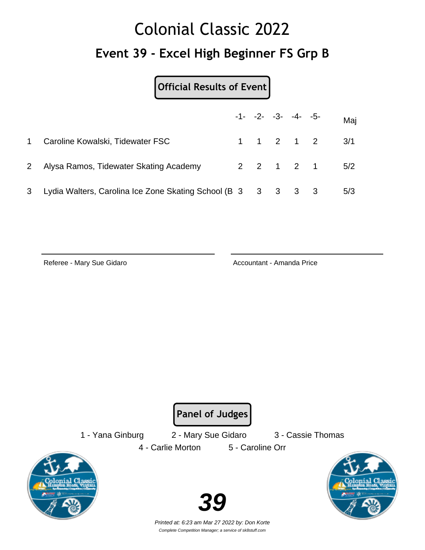## Colonial Classic 2022 **Event 39 - Excel High Beginner FS Grp B**

**Official Results of Event**

|             |                                                                |  | $-1 - -2 - -3 - -4 - -5$ | Maj           |
|-------------|----------------------------------------------------------------|--|--------------------------|---------------|
| $1 \quad$   | Caroline Kowalski, Tidewater FSC                               |  |                          | 1 1 2 1 2 3/1 |
| $2^{\circ}$ | Alysa Ramos, Tidewater Skating Academy                         |  |                          | 2 2 1 2 1 5/2 |
| 3           | Lydia Walters, Carolina Ice Zone Skating School (B 3 3 3 3 3 3 |  |                          | 5/3           |

Referee - Mary Sue Gidaro **Accountant - Amanda Price** 

**Panel of Judges**

1 - Yana Ginburg 2 - Mary Sue Gidaro 3 - Cassie Thomas 4 - Carlie Morton 5 - Caroline Orr





Printed at: 6:23 am Mar 27 2022 by: Don Korte Complete Competition Manager; a service of sk8stuff.com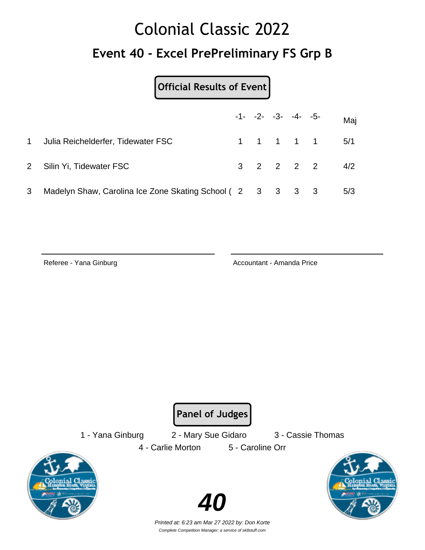## Colonial Classic 2022 **Event 40 - Excel PrePreliminary FS Grp B**

#### **Official Results of Event**

|   |                                                           |  | $-1 - -2 - -3 - -4 - -5$ | Maj             |
|---|-----------------------------------------------------------|--|--------------------------|-----------------|
|   | 1 Julia Reichelderfer, Tidewater FSC                      |  |                          | 1 1 1 1 1 5/1   |
|   | 2 Silin Yi, Tidewater FSC                                 |  |                          | $3$ 2 2 2 2 4/2 |
| 3 | Madelyn Shaw, Carolina Ice Zone Skating School (2 3 3 3 3 |  |                          | 5/3             |

Referee - Yana Ginburg **Accountant - Amanda Price** Accountant - Amanda Price

**Panel of Judges**

1 - Yana Ginburg 2 - Mary Sue Gidaro 3 - Cassie Thomas 4 - Carlie Morton 5 - Caroline Orr



Printed at: 6:23 am Mar 27 2022 by: Don Korte Complete Competition Manager; a service of sk8stuff.com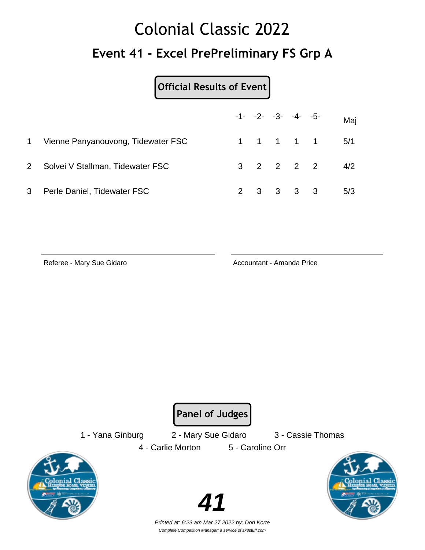## Colonial Classic 2022 **Event 41 - Excel PrePreliminary FS Grp A**

#### **Official Results of Event**

|              |                                    |  | $-1 - -2 - -3 - -4 - -5$ | Maj                       |
|--------------|------------------------------------|--|--------------------------|---------------------------|
| $\mathbf{1}$ | Vienne Panyanouvong, Tidewater FSC |  |                          | 1 1 1 1 1 5/1             |
|              | 2 Solvei V Stallman, Tidewater FSC |  |                          | $3 \t2 \t2 \t2 \t3 \t4/2$ |
| 3            | Perle Daniel, Tidewater FSC        |  | 2 3 3 3 3                | 5/3                       |

Referee - Mary Sue Gidaro **Accountant - Amanda Price** 

**Panel of Judges**

1 - Yana Ginburg 2 - Mary Sue Gidaro 3 - Cassie Thomas 4 - Carlie Morton 5 - Caroline Orr





Printed at: 6:23 am Mar 27 2022 by: Don Korte Complete Competition Manager; a service of sk8stuff.com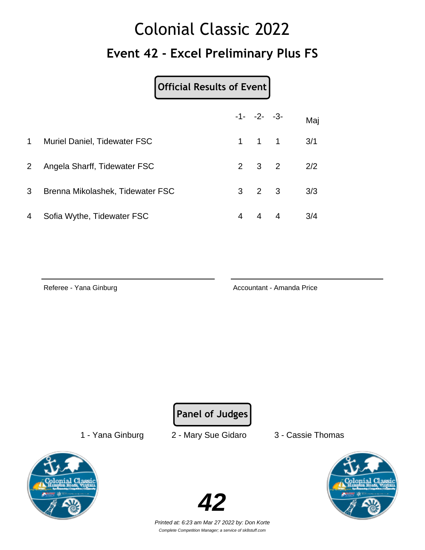## Colonial Classic 2022 **Event 42 - Excel Preliminary Plus FS**

#### **Official Results of Event**

|                |                                  |   | $-1 - -2 - -3$      |                   | Maj |
|----------------|----------------------------------|---|---------------------|-------------------|-----|
| $\mathbf 1$    | Muriel Daniel, Tidewater FSC     |   | $1 \quad 1 \quad 1$ |                   | 3/1 |
| 2 <sup>1</sup> | Angela Sharff, Tidewater FSC     |   |                     | $2 \t3 \t2 \t2/2$ |     |
| 3 <sup>1</sup> | Brenna Mikolashek, Tidewater FSC |   | $3 \quad 2 \quad 3$ |                   | 3/3 |
| 4              | Sofia Wythe, Tidewater FSC       | 4 | 4 4                 |                   | 3/4 |

Referee - Yana Ginburg **Accountant - Amanda Price** 

**Panel of Judges**

1 - Yana Ginburg 2 - Mary Sue Gidaro 3 - Cassie Thomas





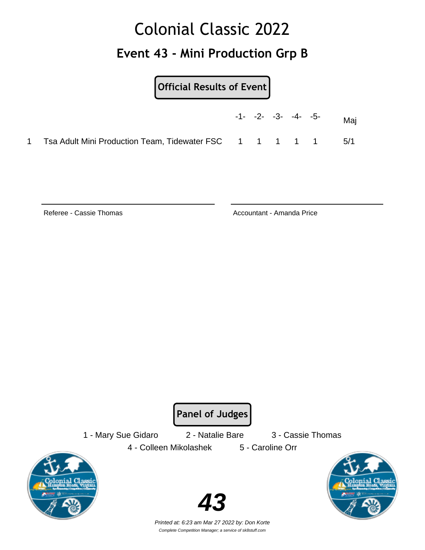## Colonial Classic 2022 **Event 43 - Mini Production Grp B**

**Official Results of Event**

|  |  | $-1 - -2 - -3 - -4 - -5$ |  | Mai |
|--|--|--------------------------|--|-----|
|  |  |                          |  | 5/1 |

Referee - Cassie Thomas Accountant - Amanda Price

**Panel of Judges**

1 - Mary Sue Gidaro 2 - Natalie Bare 3 - Cassie Thomas



4 - Colleen Mikolashek 5 - Caroline Orr